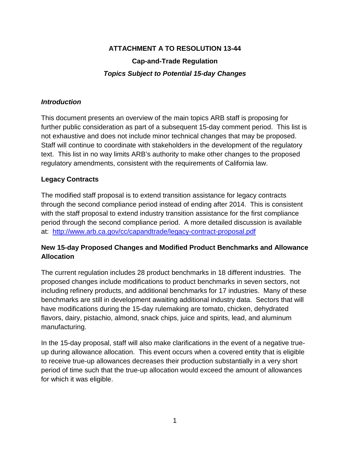# **ATTACHMENT A TO RESOLUTION 13-44 Cap-and-Trade Regulation** *Topics Subject to Potential 15-day Changes*

#### *Introduction*

This document presents an overview of the main topics ARB staff is proposing for further public consideration as part of a subsequent 15-day comment period. This list is not exhaustive and does not include minor technical changes that may be proposed. Staff will continue to coordinate with stakeholders in the development of the regulatory text. This list in no way limits ARB's authority to make other changes to the proposed regulatory amendments, consistent with the requirements of California law.

## **Legacy Contracts**

The modified staff proposal is to extend transition assistance for legacy contracts through the second compliance period instead of ending after 2014. This is consistent with the staff proposal to extend industry transition assistance for the first compliance period through the second compliance period. A more detailed discussion is available at: <http://www.arb.ca.gov/cc/capandtrade/legacy-contract-proposal.pdf>

# **New 15-day Proposed Changes and Modified Product Benchmarks and Allowance Allocation**

The current regulation includes 28 product benchmarks in 18 different industries. The proposed changes include modifications to product benchmarks in seven sectors, not including refinery products, and additional benchmarks for 17 industries. Many of these benchmarks are still in development awaiting additional industry data. Sectors that will have modifications during the 15-day rulemaking are tomato, chicken, dehydrated flavors, dairy, pistachio, almond, snack chips, juice and spirits, lead, and aluminum manufacturing.

In the 15-day proposal, staff will also make clarifications in the event of a negative trueup during allowance allocation. This event occurs when a covered entity that is eligible to receive true-up allowances decreases their production substantially in a very short period of time such that the true-up allocation would exceed the amount of allowances for which it was eligible.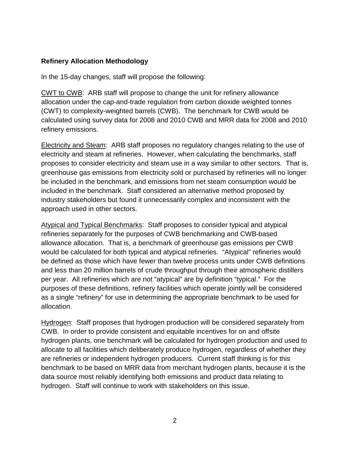## **Refinery Allocation Methodology**

In the 15-day changes, staff will propose the following:

CWT to CWB: ARB staff will propose to change the unit for refinery allowance allocation under the cap-and-trade regulation from carbon dioxide weighted tonnes (CWT) to complexity-weighted barrels (CWB). The benchmark for CWB would be calculated using survey data for 2008 and 2010 CWB and MRR data for 2008 and 2010 refinery emissions.

Electricity and Steam: ARB staff proposes no regulatory changes relating to the use of electricity and steam at refineries. However, when calculating the benchmarks, staff proposes to consider electricity and steam use in a way similar to other sectors. That is, greenhouse gas emissions from electricity sold or purchased by refineries will no longer be included in the benchmark, and emissions from net steam consumption would be included in the benchmark. Staff considered an alternative method proposed by industry stakeholders but found it unnecessarily complex and inconsistent with the approach used in other sectors.

Atypical and Typical Benchmarks: Staff proposes to consider typical and atypical refineries separately for the purposes of CWB benchmarking and CWB-based allowance allocation. That is, a benchmark of greenhouse gas emissions per CWB would be calculated for both typical and atypical refineries. "Atypical" refineries would be defined as those which have fewer than twelve process units under CWB definitions and less than 20 million barrels of crude throughput through their atmospheric distillers per year. All refineries which are not "atypical" are by definition "typical." For the purposes of these definitions, refinery facilities which operate jointly will be considered as a single "refinery" for use in determining the appropriate benchmark to be used for allocation.

Hydrogen: Staff proposes that hydrogen production will be considered separately from CWB. In order to provide consistent and equitable incentives for on and offsite hydrogen plants, one benchmark will be calculated for hydrogen production and used to allocate to all facilities which deliberately produce hydrogen, regardless of whether they are refineries or independent hydrogen producers. Current staff thinking is for this benchmark to be based on MRR data from merchant hydrogen plants, because it is the data source most reliably identifying both emissions and product data relating to hydrogen. Staff will continue to work with stakeholders on this issue.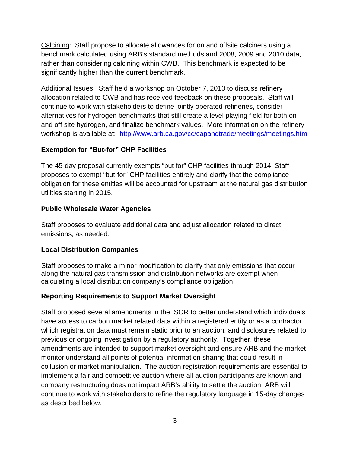Calcining: Staff propose to allocate allowances for on and offsite calciners using a benchmark calculated using ARB's standard methods and 2008, 2009 and 2010 data, rather than considering calcining within CWB. This benchmark is expected to be significantly higher than the current benchmark.

Additional Issues: Staff held a workshop on October 7, 2013 to discuss refinery allocation related to CWB and has received feedback on these proposals. Staff will continue to work with stakeholders to define jointly operated refineries, consider alternatives for hydrogen benchmarks that still create a level playing field for both on and off site hydrogen, and finalize benchmark values. More information on the refinery workshop is available at: <http://www.arb.ca.gov/cc/capandtrade/meetings/meetings.htm>

# **Exemption for "But-for" CHP Facilities**

The 45-day proposal currently exempts "but for" CHP facilities through 2014. Staff proposes to exempt "but-for" CHP facilities entirely and clarify that the compliance obligation for these entities will be accounted for upstream at the natural gas distribution utilities starting in 2015.

## **Public Wholesale Water Agencies**

Staff proposes to evaluate additional data and adjust allocation related to direct emissions, as needed.

## **Local Distribution Companies**

Staff proposes to make a minor modification to clarify that only emissions that occur along the natural gas transmission and distribution networks are exempt when calculating a local distribution company's compliance obligation.

# **Reporting Requirements to Support Market Oversight**

Staff proposed several amendments in the ISOR to better understand which individuals have access to carbon market related data within a registered entity or as a contractor, which registration data must remain static prior to an auction, and disclosures related to previous or ongoing investigation by a regulatory authority. Together, these amendments are intended to support market oversight and ensure ARB and the market monitor understand all points of potential information sharing that could result in collusion or market manipulation. The auction registration requirements are essential to implement a fair and competitive auction where all auction participants are known and company restructuring does not impact ARB's ability to settle the auction. ARB will continue to work with stakeholders to refine the regulatory language in 15-day changes as described below.